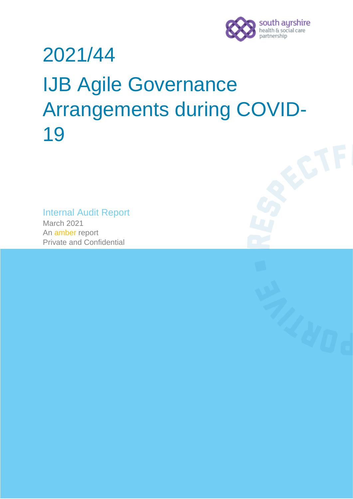

# 2021/44 IJB Agile Governance Arrangements during COVID-19

Internal Audit Report March 2021 An amber report Private and Confidential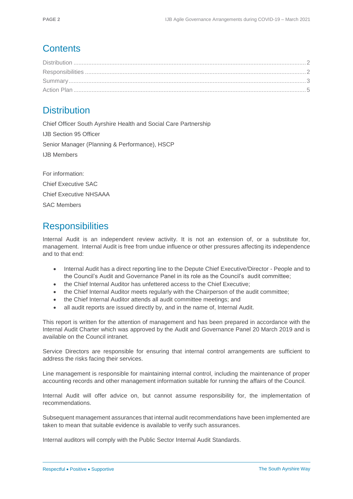## **Contents**

## <span id="page-1-0"></span>**Distribution**

Chief Officer South Ayrshire Health and Social Care Partnership IJB Section 95 Officer Senior Manager (Planning & Performance), HSCP IJB Members

For information: Chief Executive SAC Chief Executive NHSAAA SAC Members

# <span id="page-1-1"></span>**Responsibilities**

Internal Audit is an independent review activity. It is not an extension of, or a substitute for, management. Internal Audit is free from undue influence or other pressures affecting its independence and to that end:

- Internal Audit has a direct reporting line to the Depute Chief Executive/Director People and to the Council's Audit and Governance Panel in its role as the Council's audit committee;
- the Chief Internal Auditor has unfettered access to the Chief Executive;
- the Chief Internal Auditor meets regularly with the Chairperson of the audit committee;
- the Chief Internal Auditor attends all audit committee meetings; and
- all audit reports are issued directly by, and in the name of, Internal Audit.

This report is written for the attention of management and has been prepared in accordance with the Internal Audit Charter which was approved by the Audit and Governance Panel 20 March 2019 and is available on the Council intranet.

Service Directors are responsible for ensuring that internal control arrangements are sufficient to address the risks facing their services.

Line management is responsible for maintaining internal control, including the maintenance of proper accounting records and other management information suitable for running the affairs of the Council.

Internal Audit will offer advice on, but cannot assume responsibility for, the implementation of recommendations.

Subsequent management assurances that internal audit recommendations have been implemented are taken to mean that suitable evidence is available to verify such assurances.

Internal auditors will comply with the Public Sector Internal Audit Standards.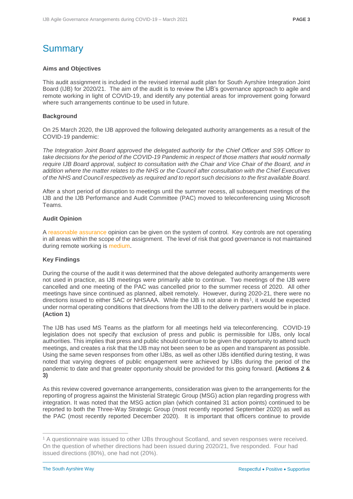# <span id="page-2-0"></span>**Summary**

#### **Aims and Objectives**

This audit assignment is included in the revised internal audit plan for South Ayrshire Integration Joint Board (IJB) for 2020/21. The aim of the audit is to review the IJB's governance approach to agile and remote working in light of COVID-19, and identify any potential areas for improvement going forward where such arrangements continue to be used in future.

#### **Background**

On 25 March 2020, the IJB approved the following delegated authority arrangements as a result of the COVID-19 pandemic:

*The Integration Joint Board approved the delegated authority for the Chief Officer and S95 Officer to take decisions for the period of the COVID-19 Pandemic in respect of those matters that would normally require IJB Board approval, subject to consultation with the Chair and Vice Chair of the Board, and in addition where the matter relates to the NHS or the Council after consultation with the Chief Executives of the NHS and Council respectively as required and to report such decisions to the first available Board.*

After a short period of disruption to meetings until the summer recess, all subsequent meetings of the IJB and the IJB Performance and Audit Committee (PAC) moved to teleconferencing using Microsoft Teams.

#### **Audit Opinion**

A reasonable assurance opinion can be given on the system of control. Key controls are not operating in all areas within the scope of the assignment. The level of risk that good governance is not maintained during remote working is medium.

#### **Key Findings**

During the course of the audit it was determined that the above delegated authority arrangements were not used in practice, as IJB meetings were primarily able to continue. Two meetings of the IJB were cancelled and one meeting of the PAC was cancelled prior to the summer recess of 2020. All other meetings have since continued as planned, albeit remotely. However, during 2020-21, there were no directions issued to either SAC or NHSAAA. While the IJB is not alone in this<sup>1</sup> , it would be expected under normal operating conditions that directions from the IJB to the delivery partners would be in place. **(Action 1)**

The IJB has used MS Teams as the platform for all meetings held via teleconferencing. COVID-19 legislation does not specify that exclusion of press and public is permissible for IJBs, only local authorities. This implies that press and public should continue to be given the opportunity to attend such meetings, and creates a risk that the IJB may not been seen to be as open and transparent as possible. Using the same seven responses from other IJBs, as well as other IJBs identified during testing, it was noted that varying degrees of public engagement were achieved by IJBs during the period of the pandemic to date and that greater opportunity should be provided for this going forward. **(Actions 2 & 3)**

As this review covered governance arrangements, consideration was given to the arrangements for the reporting of progress against the Ministerial Strategic Group (MSG) action plan regarding progress with integration. It was noted that the MSG action plan (which contained 31 action points) continued to be reported to both the Three-Way Strategic Group (most recently reported September 2020) as well as the PAC (most recently reported December 2020). It is important that officers continue to provide

 $\overline{a}$ <sup>1</sup> A questionnaire was issued to other IJBs throughout Scotland, and seven responses were received. On the question of whether directions had been issued during 2020/21, five responded. Four had issued directions (80%), one had not (20%).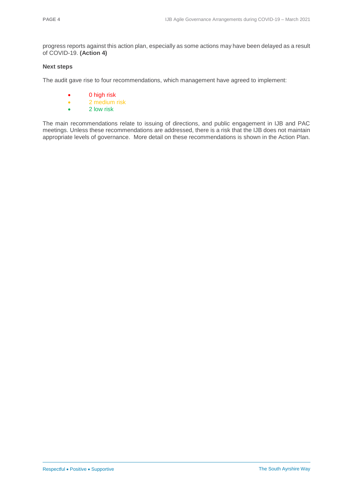progress reports against this action plan, especially as some actions may have been delayed as a result of COVID-19. **(Action 4)**

#### **Next steps**

The audit gave rise to four recommendations, which management have agreed to implement:

- 0 high risk
- 2 medium risk
- 2 low risk

The main recommendations relate to issuing of directions, and public engagement in IJB and PAC meetings. Unless these recommendations are addressed, there is a risk that the IJB does not maintain appropriate levels of governance. More detail on these recommendations is shown in the Action Plan.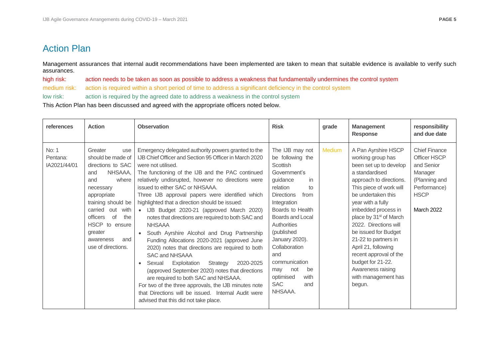### Action Plan

Management assurances that internal audit recommendations have been implemented are taken to mean that suitable evidence is available to verify such assurances.

high risk: action needs to be taken as soon as possible to address a weakness that fundamentally undermines the control system

medium risk: action is required within a short period of time to address a significant deficiency in the control system

low risk: action is required by the agreed date to address a weakness in the control system

This Action Plan has been discussed and agreed with the appropriate officers noted below.

<span id="page-4-0"></span>

| references                        | <b>Action</b>                                                                                                                                                                                                                                                 | <b>Observation</b>                                                                                                                                                                                                                                                                                                                                                                                                                                                                                                                                                                                                                                                                                                                                                                                                                                                                                                                                                                               | <b>Risk</b>                                                                                                                                                                                                                                                                                                                                              | grade         | <b>Management</b><br><b>Response</b>                                                                                                                                                                                                                                                                                                                                                                                                                    | responsibility<br>and due date                                                                                                     |
|-----------------------------------|---------------------------------------------------------------------------------------------------------------------------------------------------------------------------------------------------------------------------------------------------------------|--------------------------------------------------------------------------------------------------------------------------------------------------------------------------------------------------------------------------------------------------------------------------------------------------------------------------------------------------------------------------------------------------------------------------------------------------------------------------------------------------------------------------------------------------------------------------------------------------------------------------------------------------------------------------------------------------------------------------------------------------------------------------------------------------------------------------------------------------------------------------------------------------------------------------------------------------------------------------------------------------|----------------------------------------------------------------------------------------------------------------------------------------------------------------------------------------------------------------------------------------------------------------------------------------------------------------------------------------------------------|---------------|---------------------------------------------------------------------------------------------------------------------------------------------------------------------------------------------------------------------------------------------------------------------------------------------------------------------------------------------------------------------------------------------------------------------------------------------------------|------------------------------------------------------------------------------------------------------------------------------------|
| No: 1<br>Pentana:<br>IA2021/44/01 | Greater<br>use<br>should be made of<br>directions to SAC<br>NHSAAA,<br>and<br>and<br>where<br>necessary<br>appropriate<br>training should be<br>carried out with<br>officers of<br>the<br>HSCP to ensure<br>greater<br>and<br>awareness<br>use of directions. | Emergency delegated authority powers granted to the<br>IJB Chief Officer and Section 95 Officer in March 2020<br>were not utilised.<br>The functioning of the IJB and the PAC continued<br>relatively undisrupted, however no directions were<br>issued to either SAC or NHSAAA.<br>Three IJB approval papers were identified which<br>highlighted that a direction should be issued:<br>IJB Budget 2020-21 (approved March 2020)<br>notes that directions are required to both SAC and<br><b>NHSAAA</b><br>South Ayrshire Alcohol and Drug Partnership<br>Funding Allocations 2020-2021 (approved June<br>2020) notes that directions are required to both<br>SAC and NHSAAA<br>Exploitation<br>2020-2025<br>Sexual<br>Strategy<br>$\bullet$<br>(approved September 2020) notes that directions<br>are required to both SAC and NHSAAA.<br>For two of the three approvals, the IJB minutes note<br>that Directions will be issued. Internal Audit were<br>advised that this did not take place. | The IJB may not<br>be following the<br>Scottish<br>Government's<br>guidance<br>in<br>relation<br>to<br><b>Directions</b><br>from<br>Integration<br>Boards to Health<br>Boards and Local<br>Authorities<br>(published<br>January 2020).<br>Collaboration<br>and<br>communication<br>not<br>be<br>may<br>optimised<br>with<br><b>SAC</b><br>and<br>NHSAAA. | <b>Medium</b> | A Pan Ayrshire HSCP<br>working group has<br>been set up to develop<br>a standardised<br>approach to directions.<br>This piece of work will<br>be undertaken this<br>year with a fully<br>imbedded process in<br>place by 31 <sup>st</sup> of March<br>2022. Directions will<br>be issued for Budget<br>21-22 to partners in<br>April 21, following<br>recent approval of the<br>budget for 21-22.<br>Awareness raising<br>with management has<br>begun. | <b>Chief Finance</b><br>Officer HSCP<br>and Senior<br>Manager<br>(Planning and<br>Performance)<br><b>HSCP</b><br><b>March 2022</b> |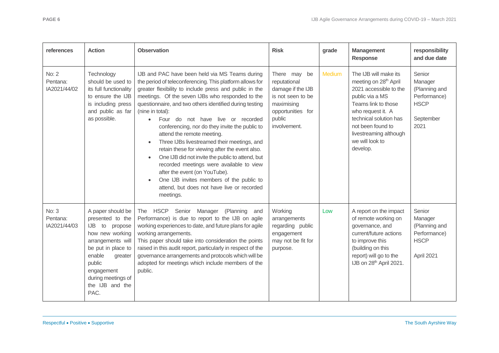| references                               | <b>Action</b>                                                                                                                                                                                                       | <b>Observation</b>                                                                                                                                                                                                                                                                                                                                                                                                                                                                                                                                                                                                                                                                                                                                                                              | <b>Risk</b>                                                                                                                         | grade         | <b>Management</b><br><b>Response</b>                                                                                                                                                                                                                        | responsibility<br>and due date                                                         |
|------------------------------------------|---------------------------------------------------------------------------------------------------------------------------------------------------------------------------------------------------------------------|-------------------------------------------------------------------------------------------------------------------------------------------------------------------------------------------------------------------------------------------------------------------------------------------------------------------------------------------------------------------------------------------------------------------------------------------------------------------------------------------------------------------------------------------------------------------------------------------------------------------------------------------------------------------------------------------------------------------------------------------------------------------------------------------------|-------------------------------------------------------------------------------------------------------------------------------------|---------------|-------------------------------------------------------------------------------------------------------------------------------------------------------------------------------------------------------------------------------------------------------------|----------------------------------------------------------------------------------------|
| <b>No: 2</b><br>Pentana:<br>IA2021/44/02 | Technology<br>should be used to<br>its full functionality<br>to ensure the IJB<br>is including press<br>and public as far<br>as possible.                                                                           | IJB and PAC have been held via MS Teams during<br>the period of teleconferencing. This platform allows for<br>greater flexibility to include press and public in the<br>meetings. Of the seven IJBs who responded to the<br>questionnaire, and two others identified during testing<br>(nine in total):<br>Four do not have live or recorded<br>$\bullet$<br>conferencing, nor do they invite the public to<br>attend the remote meeting.<br>Three IJBs livestreamed their meetings, and<br>retain these for viewing after the event also.<br>One IJB did not invite the public to attend, but<br>$\bullet$<br>recorded meetings were available to view<br>after the event (on YouTube).<br>One IJB invites members of the public to<br>attend, but does not have live or recorded<br>meetings. | There may be<br>reputational<br>damage if the IJB<br>is not seen to be<br>maximising<br>opportunities for<br>public<br>involvement. | <b>Medium</b> | The IJB will make its<br>meeting on 28 <sup>th</sup> April<br>2021 accessible to the<br>public via a MS<br>Teams link to those<br>who request it. A<br>technical solution has<br>not been found to<br>livestreaming although<br>we will look to<br>develop. | Senior<br>Manager<br>(Planning and<br>Performance)<br><b>HSCP</b><br>September<br>2021 |
| No: 3<br>Pentana:<br>IA2021/44/03        | A paper should be<br>presented to the<br>IJB to propose<br>how new working<br>arrangements will<br>be put in place to<br>enable<br>greater<br>public<br>engagement<br>during meetings of<br>the IJB and the<br>PAC. | The HSCP Senior Manager (Planning<br>and<br>Performance) is due to report to the IJB on agile<br>working experiences to date, and future plans for agile<br>working arrangements.<br>This paper should take into consideration the points<br>raised in this audit report, particularly in respect of the<br>governance arrangements and protocols which will be<br>adopted for meetings which include members of the<br>public.                                                                                                                                                                                                                                                                                                                                                                 | Working<br>arrangements<br>regarding public<br>engagement<br>may not be fit for<br>purpose.                                         | Low           | A report on the impact<br>of remote working on<br>governance, and<br>current/future actions<br>to improve this<br>(building on this<br>report) will go to the<br>IJB on 28th April 2021.                                                                    | Senior<br>Manager<br>(Planning and<br>Performance)<br><b>HSCP</b><br>April 2021        |